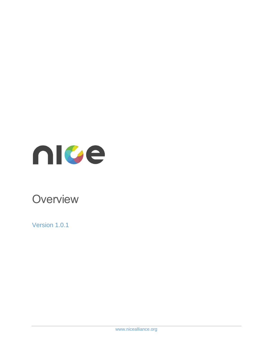

# **Overview**

Version 1.0.1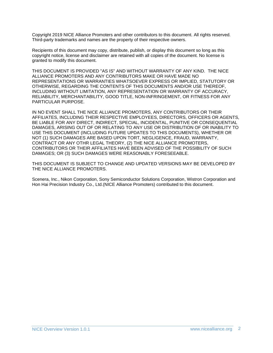Copyright 2019 NICE Alliance Promoters and other contributors to this document. All rights reserved. Third-party trademarks and names are the property of their respective owners.

Recipients of this document may copy, distribute, publish, or display this document so long as this copyright notice, license and disclaimer are retained with all copies of the document. No license is granted to modify this document.

THIS DOCUMENT IS PROVIDED "AS IS" AND WITHOUT WARRANTY OF ANY KIND. THE NICE ALLIANCE PROMOTERS AND ANY CONTRIBUTORS MAKE OR HAVE MADE NO REPRESENTATIONS OR WARRANTIES WHATSOEVER EXPRESS OR IMPLIED, STATUTORY OR OTHERWISE, REGARDING THE CONTENTS OF THIS DOCUMENTS AND/OR USE THEREOF, INCLUDING WITHOUT LIMITATION, ANY REPRESENTATION OR WARRANTY OF ACCURACY, RELIABILITY, MERCHANTABILITY, GOOD TITLE, NON-INFRINGEMENT, OR FITNESS FOR ANY PARTICULAR PURPOSE.

IN NO EVENT SHALL THE NICE ALLIANCE PROMOTERS, ANY CONTRIBUTORS OR THEIR AFFILIATES, INCLUDING THEIR RESPECTIVE EMPLOYEES, DIRECTORS, OFFICERS OR AGENTS, BE LIABLE FOR ANY DIRECT, INDIRECT, SPECIAL, INCIDENTAL, PUNITIVE OR CONSEQUENTIAL DAMAGES, ARISING OUT OF OR RELATING TO ANY USE OR DISTRIBUTION OF OR INABILITY TO USE THIS DOCUMENT (INCLUDING FUTURE UPDATES TO THIS DOCUMENTS), WHETHER OR NOT (1) SUCH DAMAGES ARE BASED UPON TORT, NEGLIGENCE, FRAUD, WARRANTY, CONTRACT OR ANY OTHR LEGAL THEORY, (2) THE NICE ALLIANCE PROMOTERS, CONTRIBUTORS OR THEIR AFFILIATES HAVE BEEN ADVISED OF THE POSSIBILITY OF SUCH DAMAGES; OR (3) SUCH DAMAGES WERE REASONABLY FORESEEABLE.

THIS DOCUMENT IS SUBJECT TO CHANGE AND UPDATED VERSIONS MAY BE DEVELOPED BY THE NICE ALLIANCE PROMOTERS.

Scenera, Inc., Nikon Corporation, Sony Semiconductor Solutions Corporation, Wistron Corporation and Hon Hai Precision Industry Co., Ltd.(NICE Alliance Promoters) contributed to this document.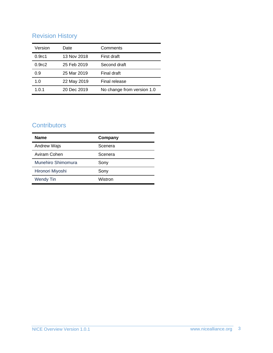## Revision History

| Version            | Date        | Comments                   |
|--------------------|-------------|----------------------------|
| 0.9 <sub>rc1</sub> | 13 Nov 2018 | First draft                |
| 0.9 <sub>rc2</sub> | 25 Feb 2019 | Second draft               |
| 0.9                | 25 Mar 2019 | Final draft                |
| 1.0                | 22 May 2019 | Final release              |
| 1.0.1              | 20 Dec 2019 | No change from version 1.0 |

## **Contributors**

| <b>Name</b>        | Company |
|--------------------|---------|
| Andrew Wajs        | Scenera |
| Aviram Cohen       | Scenera |
| Munehiro Shimomura | Sony    |
| Hironori Miyoshi   | Sony    |
| <b>Wendy Tin</b>   | Wistron |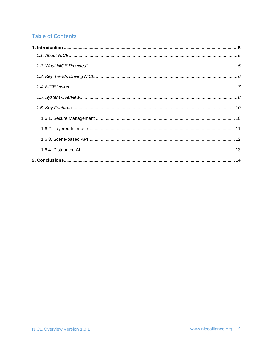## **Table of Contents**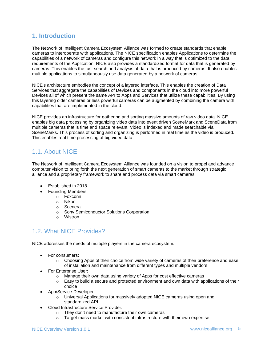#### <span id="page-4-0"></span>**1. Introduction**

The Network of Intelligent Camera Ecosystem Alliance was formed to create standards that enable cameras to interoperate with applications. The NICE specification enables Applications to determine the capabilities of a network of cameras and configure this network in a way that is optimized to the data requirements of the Application. NICE also provides a standardized format for data that is generated by cameras. This enables the fast search and analysis of data that is produced by cameras. It also enables multiple applications to simultaneously use data generated by a network of cameras.

NICE's architecture embodies the concept of a layered interface. This enables the creation of Data Services that aggregate the capabilities of Devices and components in the cloud into more powerful Devices all of which present the same API to Apps and Services that utilize these capabilities. By using this layering older cameras or less powerful cameras can be augmented by combining the camera with capabilities that are implemented in the cloud.

NICE provides an infrastructure for gathering and sorting massive amounts of raw video data. NICE enables big data processing by organizing video data into event driven SceneMark and SceneData from multiple cameras that is time and space relevant. Video is indexed and made searchable via SceneMarks. This process of sorting and organizing is performed in real time as the video is produced. This enables real time processing of big video data.

#### <span id="page-4-1"></span>1.1. About NICE

The Network of Intelligent Camera Ecosystem Alliance was founded on a vision to propel and advance computer vision to bring forth the next generation of smart cameras to the market through strategic alliance and a proprietary framework to share and process data via smart cameras.

- Established in 2018
- Founding Members:
	- o Foxconn
	- o Nikon
	- o Scenera
	- o Sony Semiconductor Solutions Corporation
	- o Wistron

#### <span id="page-4-2"></span>1.2. What NICE Provides?

NICE addresses the needs of multiple players in the camera ecosystem.

- For consumers:
	- $\circ$  Choosing Apps of their choice from wide variety of cameras of their preference and ease of installation and maintenance from different types and multiple vendors
- For Enterprise User:
	- $\circ$  Manage their own data using variety of Apps for cost effective cameras
	- $\circ$  Easy to build a secure and protected environment and own data with applications of their choice
- App/Service Developer:
	- $\circ$  Universal Applications for massively adopted NICE cameras using open and standardized API
- Cloud Infrastructure Service Provider:
	- o They don't need to manufacture their own cameras
	- o Target mass market with consistent infrastructure with their own expertise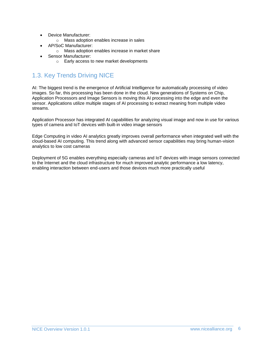- Device Manufacturer:
	- o Mass adoption enables increase in sales
- AP/SoC Manufacturer:
	- o Mass adoption enables increase in market share
- Sensor Manufacturer:
	- o Early access to new market developments

## <span id="page-5-0"></span>1.3. Key Trends Driving NICE

AI: The biggest trend is the emergence of Artificial Intelligence for automatically processing of video images. So far, this processing has been done in the cloud. New generations of Systems on Chip, Application Processors and Image Sensors is moving this AI processing into the edge and even the sensor. Applications utilize multiple stages of AI processing to extract meaning from multiple video streams.

Application Processor has integrated AI capabilities for analyzing visual image and now in use for various types of camera and IoT devices with built-in video image sensors

Edge Computing in video AI analytics greatly improves overall performance when integrated well with the cloud-based AI computing. This trend along with advanced sensor capabilities may bring human-vision analytics to low cost cameras

Deployment of 5G enables everything especially cameras and IoT devices with image sensors connected to the Internet and the cloud infrastructure for much improved analytic performance a low latency, enabling interaction between end-users and those devices much more practically useful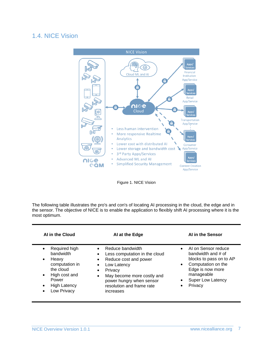#### <span id="page-6-0"></span>1.4. NICE Vision



Figure 1. NICE Vision

The following table illustrates the pro's and con's of locating AI processing in the cloud, the edge and in the sensor. The objective of NICE is to enable the application to flexibly shift AI processing where it is the most optimum.

| AI in the Cloud                                                                                                                               | AI at the Edge                                                                                                                                                                                                                                                            | AI in the Sensor                                                                                                                                                                    |
|-----------------------------------------------------------------------------------------------------------------------------------------------|---------------------------------------------------------------------------------------------------------------------------------------------------------------------------------------------------------------------------------------------------------------------------|-------------------------------------------------------------------------------------------------------------------------------------------------------------------------------------|
| Required high<br>bandwidth<br>Heavy<br>٠<br>computation in<br>the cloud<br>High cost and<br>$\bullet$<br>Power<br>High Latency<br>Low Privacy | Reduce bandwidth<br>Less computation in the cloud<br>$\bullet$<br>Reduce cost and power<br>$\bullet$<br>Low Latency<br>$\bullet$<br>Privacy<br>$\bullet$<br>May become more costly and<br>$\bullet$<br>power hungry when sensor<br>resolution and frame rate<br>increases | AI on Sensor reduce<br>bandwidth and $\#$ of<br>blocks to pass on to AP<br>Computation on the<br>$\bullet$<br>Edge is now more<br>manageable<br><b>Super Low Latency</b><br>Privacy |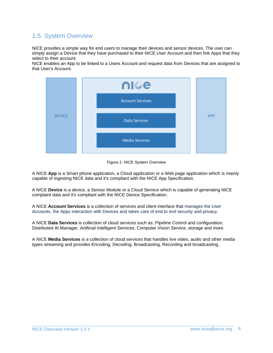#### <span id="page-7-0"></span>1.5. System Overview

NICE provides a simple way for end users to manage their devices and sensor devices. The user can simply assign a Device that they have purchased to their NICE User Account and then link Apps that they select to their account.

NICE enables an App to be linked to a Users Account and request data from Devices that are assigned to that User's Account.



Figure 2. NICE System Overview

A NICE **App** is a Smart phone application, a Cloud application or a Web page application which is mainly capable of ingesting NICE data and it's compliant with the NICE App Specification.

A NICE **Device** is a device, a Sensor Module or a Cloud Service which is capable of generating NICE complaint data and it's compliant with the NICE Device Specification.

A NICE **Account Services** is a collection of services and client interface that manages the User Accounts, the Apps interaction with Devices and takes care of end to end security and privacy.

A NICE **Data Services** is collection of cloud services such as: Pipeline Control and configuration, Distributed AI Manager, Artificial Intelligent Services, Computer Vision Service, storage and more.

A NICE **Media Services** is a collection of cloud services that handles live video, audio and other media types streaming and provides Encoding, Decoding, Broadcasting, Recording and broadcasting.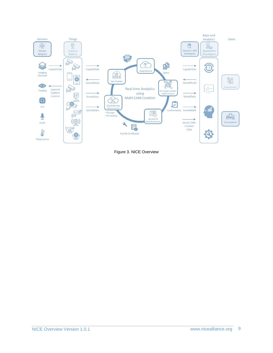

Figure 3. NICE Overview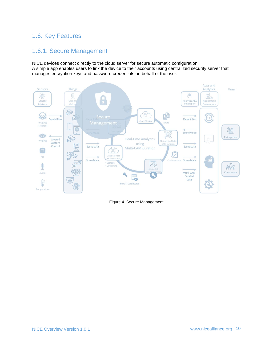#### <span id="page-9-1"></span><span id="page-9-0"></span>1.6. Key Features

#### 1.6.1. Secure Management

NICE devices connect directly to the cloud server for secure automatic configuration. A simple app enables users to link the device to their accounts using centralized security server that manages encryption keys and password credentials on behalf of the user.



Figure 4. Secure Management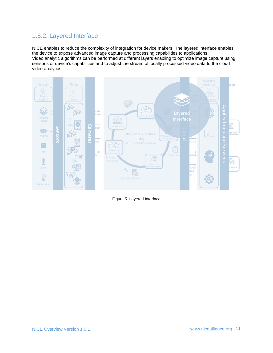#### <span id="page-10-0"></span>1.6.2. Layered Interface

NICE enables to reduce the complexity of integration for device makers. The layered interface enables the device to expose advanced image capture and processing capabilities to applications. Video analytic algorithms can be performed at different layers enabling to optimize image capture using sensor's or device's capabilities and to adjust the stream of locally processed video data to the cloud video analytics.



Figure 5. Layered Interface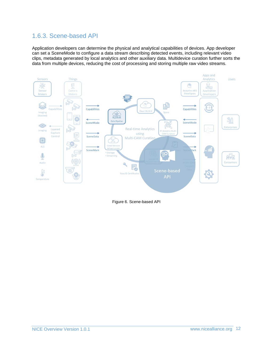#### <span id="page-11-0"></span>1.6.3. Scene-based API

Application developers can determine the physical and analytical capabilities of devices. App developer can set a SceneMode to configure a data stream describing detected events, including relevant video clips, metadata generated by local analytics and other auxiliary data. Multidevice curation further sorts the data from multiple devices, reducing the cost of processing and storing multiple raw video streams.



Figure 6. Scene-based API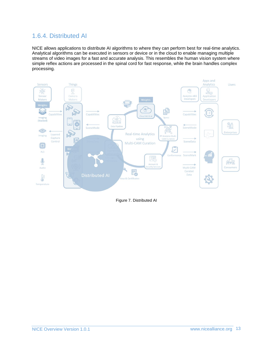#### <span id="page-12-0"></span>1.6.4. Distributed AI

NICE allows applications to distribute AI algorithms to where they can perform best for real-time analytics. Analytical algorithms can be executed in sensors or device or in the cloud to enable managing multiple streams of video images for a fast and accurate analysis. This resembles the human vision system where simple reflex actions are processed in the spinal cord for fast response, while the brain handles complex processing.



Figure 7. Distributed AI